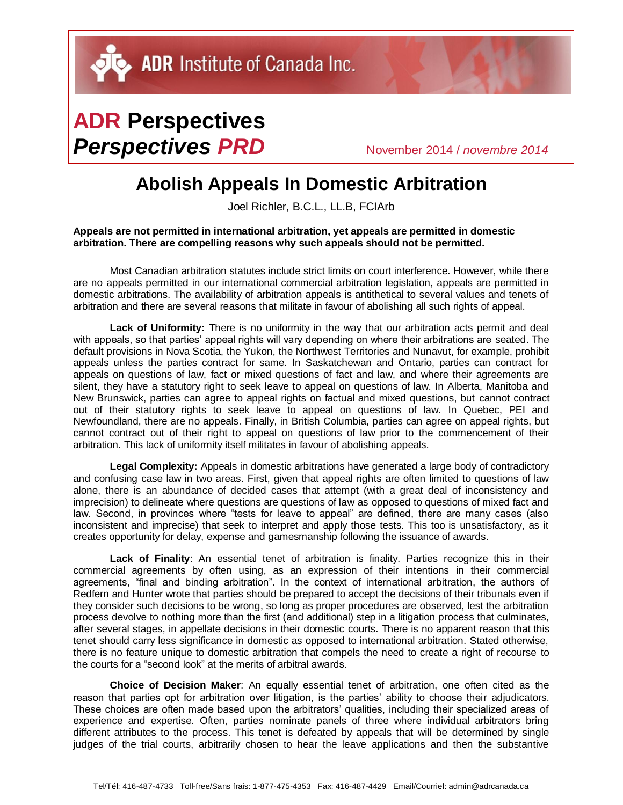## **ADR Perspectives** *Perspectives PRD* November 2014 / *novembre <sup>2014</sup>*

## **Abolish Appeals In Domestic Arbitration**

Joel Richler, B.C.L., LL.B, FCIArb

**Appeals are not permitted in international arbitration, yet appeals are permitted in domestic arbitration. There are compelling reasons why such appeals should not be permitted.**

Most Canadian arbitration statutes include strict limits on court interference. However, while there are no appeals permitted in our international commercial arbitration legislation, appeals are permitted in domestic arbitrations. The availability of arbitration appeals is antithetical to several values and tenets of arbitration and there are several reasons that militate in favour of abolishing all such rights of appeal.

**Lack of Uniformity:** There is no uniformity in the way that our arbitration acts permit and deal with appeals, so that parties' appeal rights will vary depending on where their arbitrations are seated. The default provisions in Nova Scotia, the Yukon, the Northwest Territories and Nunavut, for example, prohibit appeals unless the parties contract for same. In Saskatchewan and Ontario, parties can contract for appeals on questions of law, fact or mixed questions of fact and law, and where their agreements are silent, they have a statutory right to seek leave to appeal on questions of law. In Alberta, Manitoba and New Brunswick, parties can agree to appeal rights on factual and mixed questions, but cannot contract out of their statutory rights to seek leave to appeal on questions of law. In Quebec, PEI and Newfoundland, there are no appeals. Finally, in British Columbia, parties can agree on appeal rights, but cannot contract out of their right to appeal on questions of law prior to the commencement of their arbitration. This lack of uniformity itself militates in favour of abolishing appeals.

**Legal Complexity:** Appeals in domestic arbitrations have generated a large body of contradictory and confusing case law in two areas. First, given that appeal rights are often limited to questions of law alone, there is an abundance of decided cases that attempt (with a great deal of inconsistency and imprecision) to delineate where questions are questions of law as opposed to questions of mixed fact and law. Second, in provinces where "tests for leave to appeal" are defined, there are many cases (also inconsistent and imprecise) that seek to interpret and apply those tests. This too is unsatisfactory, as it creates opportunity for delay, expense and gamesmanship following the issuance of awards.

**Lack of Finality**: An essential tenet of arbitration is finality. Parties recognize this in their commercial agreements by often using, as an expression of their intentions in their commercial agreements, "final and binding arbitration". In the context of international arbitration, the authors of Redfern and Hunter wrote that parties should be prepared to accept the decisions of their tribunals even if they consider such decisions to be wrong, so long as proper procedures are observed, lest the arbitration process devolve to nothing more than the first (and additional) step in a litigation process that culminates, after several stages, in appellate decisions in their domestic courts. There is no apparent reason that this tenet should carry less significance in domestic as opposed to international arbitration. Stated otherwise, there is no feature unique to domestic arbitration that compels the need to create a right of recourse to the courts for a "second look" at the merits of arbitral awards.

**Choice of Decision Maker**: An equally essential tenet of arbitration, one often cited as the reason that parties opt for arbitration over litigation, is the parties' ability to choose their adjudicators. These choices are often made based upon the arbitrators' qualities, including their specialized areas of experience and expertise. Often, parties nominate panels of three where individual arbitrators bring different attributes to the process. This tenet is defeated by appeals that will be determined by single judges of the trial courts, arbitrarily chosen to hear the leave applications and then the substantive